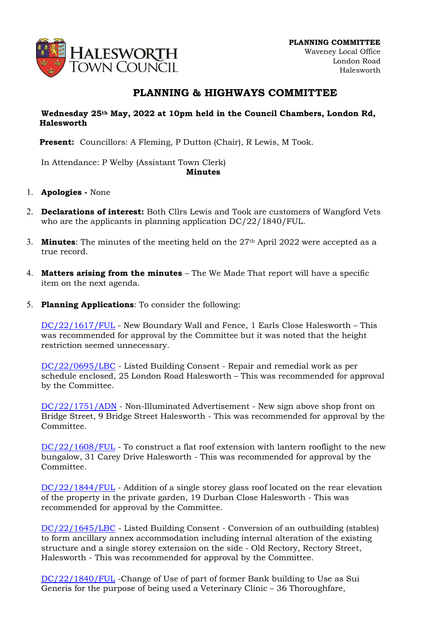

## PLANNING & HIGHWAYS COMMITTEE

## Wednesday 25th May, 2022 at 10pm held in the Council Chambers, London Rd, Halesworth

Present: Councillors: A Fleming, P Dutton (Chair), R Lewis, M Took.

In Attendance: P Welby (Assistant Town Clerk) Minutes

- 1. Apologies None
- 2. Declarations of interest: Both Cllrs Lewis and Took are customers of Wangford Vets who are the applicants in planning application DC/22/1840/FUL.
- 3. **Minutes**: The minutes of the meeting held on the  $27<sup>th</sup>$  April 2022 were accepted as a true record.
- 4. **Matters arising from the minutes** The We Made That report will have a specific item on the next agenda.
- 5. Planning Applications: To consider the following:

DC/22/1617/FUL - New Boundary Wall and Fence, 1 Earls Close Halesworth – This was recommended for approval by the Committee but it was noted that the height restriction seemed unnecessary.

DC/22/0695/LBC - Listed Building Consent - Repair and remedial work as per schedule enclosed, 25 London Road Halesworth – This was recommended for approval by the Committee.

DC/22/1751/ADN - Non-Illuminated Advertisement - New sign above shop front on Bridge Street, 9 Bridge Street Halesworth - This was recommended for approval by the Committee.

DC/22/1608/FUL - To construct a flat roof extension with lantern rooflight to the new bungalow, 31 Carey Drive Halesworth - This was recommended for approval by the Committee.

DC/22/1844/FUL - Addition of a single storey glass roof located on the rear elevation of the property in the private garden, 19 Durban Close Halesworth - This was recommended for approval by the Committee.

DC/22/1645/LBC - Listed Building Consent - Conversion of an outbuilding (stables) to form ancillary annex accommodation including internal alteration of the existing structure and a single storey extension on the side - Old Rectory, Rectory Street, Halesworth - This was recommended for approval by the Committee.

DC/22/1840/FUL -Change of Use of part of former Bank building to Use as Sui Generis for the purpose of being used a Veterinary Clinic – 36 Thoroughfare,